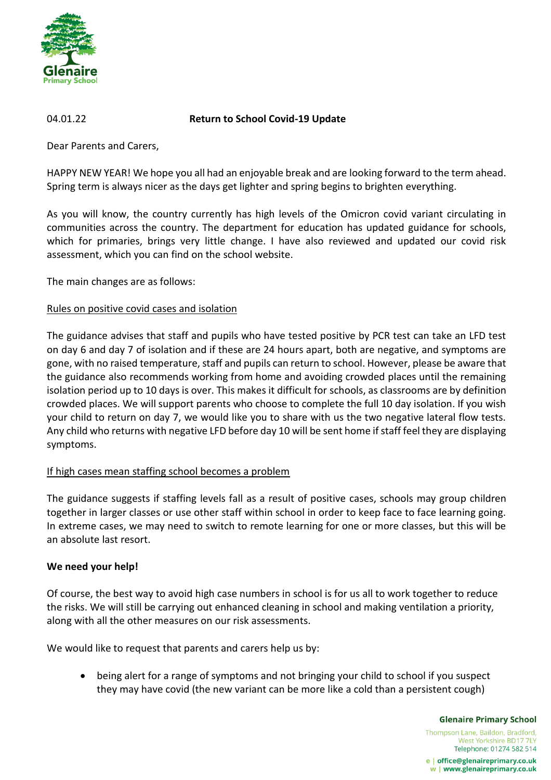

## 04.01.22 **Return to School Covid-19 Update**

Dear Parents and Carers,

HAPPY NEW YEAR! We hope you all had an enjoyable break and are looking forward to the term ahead. Spring term is always nicer as the days get lighter and spring begins to brighten everything.

As you will know, the country currently has high levels of the Omicron covid variant circulating in communities across the country. The department for education has updated guidance for schools, which for primaries, brings very little change. I have also reviewed and updated our covid risk assessment, which you can find on the school website.

The main changes are as follows:

## Rules on positive covid cases and isolation

The guidance advises that staff and pupils who have tested positive by PCR test can take an LFD test on day 6 and day 7 of isolation and if these are 24 hours apart, both are negative, and symptoms are gone, with no raised temperature, staff and pupils can return to school. However, please be aware that the guidance also recommends working from home and avoiding crowded places until the remaining isolation period up to 10 days is over. This makes it difficult for schools, as classrooms are by definition crowded places. We will support parents who choose to complete the full 10 day isolation. If you wish your child to return on day 7, we would like you to share with us the two negative lateral flow tests. Any child who returns with negative LFD before day 10 will be sent home if staff feel they are displaying symptoms.

# If high cases mean staffing school becomes a problem

The guidance suggests if staffing levels fall as a result of positive cases, schools may group children together in larger classes or use other staff within school in order to keep face to face learning going. In extreme cases, we may need to switch to remote learning for one or more classes, but this will be an absolute last resort.

### **We need your help!**

Of course, the best way to avoid high case numbers in school is for us all to work together to reduce the risks. We will still be carrying out enhanced cleaning in school and making ventilation a priority, along with all the other measures on our risk assessments.

We would like to request that parents and carers help us by:

 being alert for a range of symptoms and not bringing your child to school if you suspect they may have covid (the new variant can be more like a cold than a persistent cough)

**Glenaire Primary School** 

Thompson Lane, Baildon, Bradford, West Yorkshire BD17 7LY Telephone: 01274 582 514

e | office@glenaireprimary.co.uk w | www.glenaireprimary.co.uk